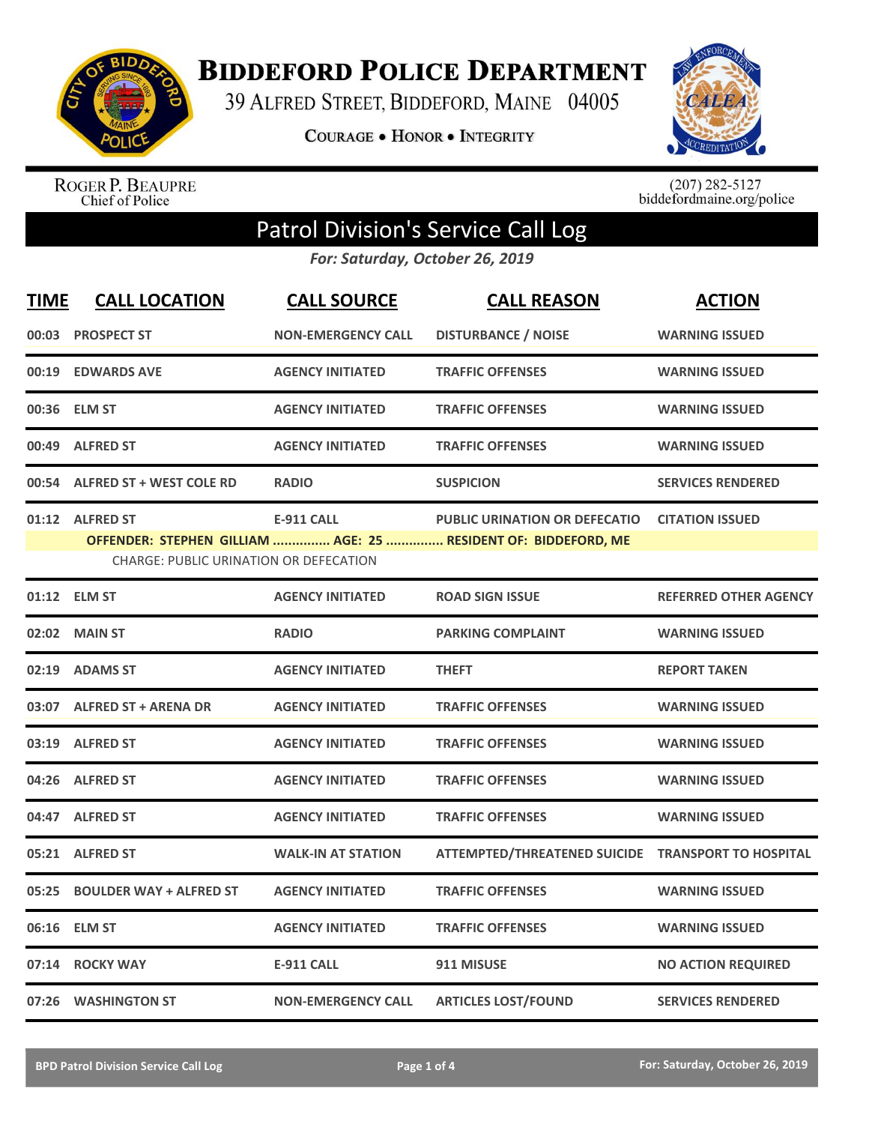

**BIDDEFORD POLICE DEPARTMENT** 

39 ALFRED STREET, BIDDEFORD, MAINE 04005

**COURAGE . HONOR . INTEGRITY** 



ROGER P. BEAUPRE<br>Chief of Police

 $(207)$  282-5127<br>biddefordmaine.org/police

## Patrol Division's Service Call Log

*For: Saturday, October 26, 2019*

| <b>TIME</b> | <b>CALL LOCATION</b>                                      | <b>CALL SOURCE</b>        | <b>CALL REASON</b>                                                                                     | <b>ACTION</b>                |
|-------------|-----------------------------------------------------------|---------------------------|--------------------------------------------------------------------------------------------------------|------------------------------|
|             | 00:03 PROSPECT ST                                         | <b>NON-EMERGENCY CALL</b> | <b>DISTURBANCE / NOISE</b>                                                                             | <b>WARNING ISSUED</b>        |
| 00:19       | <b>EDWARDS AVE</b>                                        | <b>AGENCY INITIATED</b>   | <b>TRAFFIC OFFENSES</b>                                                                                | <b>WARNING ISSUED</b>        |
|             | 00:36 ELM ST                                              | <b>AGENCY INITIATED</b>   | <b>TRAFFIC OFFENSES</b>                                                                                | <b>WARNING ISSUED</b>        |
|             | 00:49 ALFRED ST                                           | <b>AGENCY INITIATED</b>   | <b>TRAFFIC OFFENSES</b>                                                                                | <b>WARNING ISSUED</b>        |
|             | 00:54 ALFRED ST + WEST COLE RD                            | <b>RADIO</b>              | <b>SUSPICION</b>                                                                                       | <b>SERVICES RENDERED</b>     |
|             | 01:12 ALFRED ST<br>CHARGE: PUBLIC URINATION OR DEFECATION | <b>E-911 CALL</b>         | <b>PUBLIC URINATION OR DEFECATIO</b><br>OFFENDER: STEPHEN GILLIAM  AGE: 25  RESIDENT OF: BIDDEFORD, ME | <b>CITATION ISSUED</b>       |
|             | 01:12 ELM ST                                              | <b>AGENCY INITIATED</b>   | <b>ROAD SIGN ISSUE</b>                                                                                 | <b>REFERRED OTHER AGENCY</b> |
|             | 02:02 MAIN ST                                             | <b>RADIO</b>              | <b>PARKING COMPLAINT</b>                                                                               | <b>WARNING ISSUED</b>        |
| 02:19       | <b>ADAMS ST</b>                                           | <b>AGENCY INITIATED</b>   | <b>THEFT</b>                                                                                           | <b>REPORT TAKEN</b>          |
|             | 03:07 ALFRED ST + ARENA DR                                | <b>AGENCY INITIATED</b>   | <b>TRAFFIC OFFENSES</b>                                                                                | <b>WARNING ISSUED</b>        |
|             | 03:19 ALFRED ST                                           | <b>AGENCY INITIATED</b>   | <b>TRAFFIC OFFENSES</b>                                                                                | <b>WARNING ISSUED</b>        |
|             | 04:26 ALFRED ST                                           | <b>AGENCY INITIATED</b>   | <b>TRAFFIC OFFENSES</b>                                                                                | <b>WARNING ISSUED</b>        |
|             | 04:47 ALFRED ST                                           | <b>AGENCY INITIATED</b>   | <b>TRAFFIC OFFENSES</b>                                                                                | <b>WARNING ISSUED</b>        |
|             | 05:21 ALFRED ST                                           | <b>WALK-IN AT STATION</b> | ATTEMPTED/THREATENED SUICIDE TRANSPORT TO HOSPITAL                                                     |                              |
| 05:25       | <b>BOULDER WAY + ALFRED ST</b>                            | <b>AGENCY INITIATED</b>   | <b>TRAFFIC OFFENSES</b>                                                                                | <b>WARNING ISSUED</b>        |
| 06:16       | <b>ELM ST</b>                                             | <b>AGENCY INITIATED</b>   | <b>TRAFFIC OFFENSES</b>                                                                                | <b>WARNING ISSUED</b>        |
| 07:14       | <b>ROCKY WAY</b>                                          | <b>E-911 CALL</b>         | 911 MISUSE                                                                                             | <b>NO ACTION REQUIRED</b>    |
|             | 07:26 WASHINGTON ST                                       | <b>NON-EMERGENCY CALL</b> | <b>ARTICLES LOST/FOUND</b>                                                                             | <b>SERVICES RENDERED</b>     |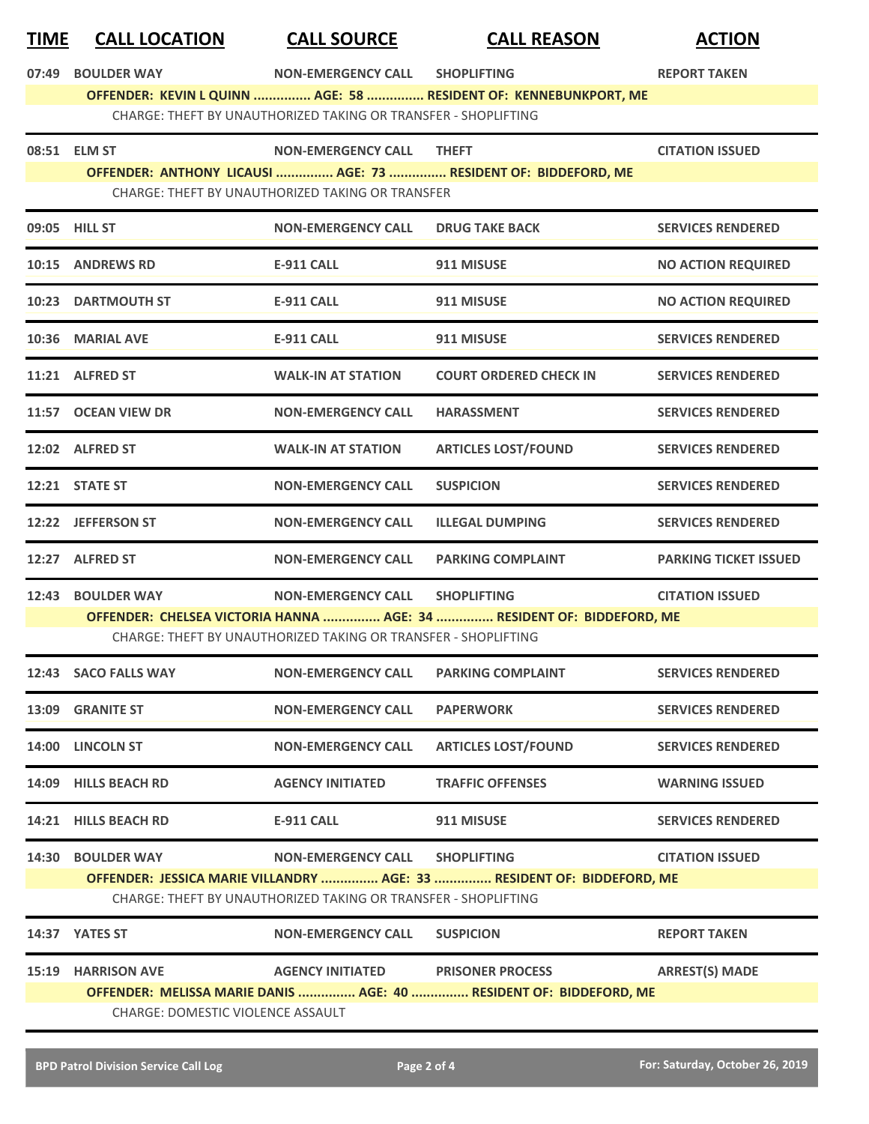## **TIME CALL LOCATION CALL SOURCE CALL REASON ACTION**

**07:49 BOULDER WAY NON-EMERGENCY CALL SHOPLIFTING REPORT TAKEN**

**OFFENDER: KEVIN L QUINN ............... AGE: 58 ............... RESIDENT OF: KENNEBUNKPORT, ME**

CHARGE: THEFT BY UNAUTHORIZED TAKING OR TRANSFER - SHOPLIFTING

|       | 08:51 ELM ST                                     | <b>NON-EMERGENCY CALL</b>                                      | <b>THEFT</b>                                                           | <b>CITATION ISSUED</b>       |  |
|-------|--------------------------------------------------|----------------------------------------------------------------|------------------------------------------------------------------------|------------------------------|--|
|       |                                                  |                                                                | OFFENDER: ANTHONY LICAUSI  AGE: 73  RESIDENT OF: BIDDEFORD, ME         |                              |  |
|       | CHARGE: THEFT BY UNAUTHORIZED TAKING OR TRANSFER |                                                                |                                                                        |                              |  |
|       | 09:05 HILL ST                                    | <b>NON-EMERGENCY CALL</b>                                      | <b>DRUG TAKE BACK</b>                                                  | <b>SERVICES RENDERED</b>     |  |
|       | 10:15 ANDREWS RD                                 | <b>E-911 CALL</b>                                              | 911 MISUSE                                                             | <b>NO ACTION REQUIRED</b>    |  |
|       | <b>10:23 DARTMOUTH ST</b>                        | <b>E-911 CALL</b>                                              | 911 MISUSE                                                             | <b>NO ACTION REQUIRED</b>    |  |
|       | 10:36 MARIAL AVE                                 | <b>E-911 CALL</b>                                              | 911 MISUSE                                                             | <b>SERVICES RENDERED</b>     |  |
|       | 11:21 ALFRED ST                                  | <b>WALK-IN AT STATION</b>                                      | <b>COURT ORDERED CHECK IN</b>                                          | <b>SERVICES RENDERED</b>     |  |
|       | 11:57 OCEAN VIEW DR                              | <b>NON-EMERGENCY CALL</b>                                      | <b>HARASSMENT</b>                                                      | <b>SERVICES RENDERED</b>     |  |
|       | 12:02 ALFRED ST                                  | <b>WALK-IN AT STATION</b>                                      | <b>ARTICLES LOST/FOUND</b>                                             | <b>SERVICES RENDERED</b>     |  |
|       | 12:21 STATE ST                                   | <b>NON-EMERGENCY CALL</b>                                      | <b>SUSPICION</b>                                                       | <b>SERVICES RENDERED</b>     |  |
|       | 12:22 JEFFERSON ST                               | <b>NON-EMERGENCY CALL</b>                                      | <b>ILLEGAL DUMPING</b>                                                 | <b>SERVICES RENDERED</b>     |  |
|       | 12:27 ALFRED ST                                  | <b>NON-EMERGENCY CALL</b>                                      | <b>PARKING COMPLAINT</b>                                               | <b>PARKING TICKET ISSUED</b> |  |
|       |                                                  |                                                                |                                                                        |                              |  |
|       | 12:43 BOULDER WAY                                | NON-EMERGENCY CALL SHOPLIFTING                                 |                                                                        | <b>CITATION ISSUED</b>       |  |
|       |                                                  |                                                                | OFFENDER: CHELSEA VICTORIA HANNA  AGE: 34  RESIDENT OF: BIDDEFORD, ME  |                              |  |
|       |                                                  | CHARGE: THEFT BY UNAUTHORIZED TAKING OR TRANSFER - SHOPLIFTING |                                                                        |                              |  |
|       | 12:43 SACO FALLS WAY                             | <b>NON-EMERGENCY CALL</b>                                      | <b>PARKING COMPLAINT</b>                                               | <b>SERVICES RENDERED</b>     |  |
|       | 13:09 GRANITE ST                                 | <b>NON-EMERGENCY CALL</b>                                      | <b>PAPERWORK</b>                                                       | <b>SERVICES RENDERED</b>     |  |
|       | 14:00 LINCOLN ST                                 | <b>NON-EMERGENCY CALL</b>                                      | <b>ARTICLES LOST/FOUND</b>                                             | <b>SERVICES RENDERED</b>     |  |
| 14:09 | <b>HILLS BEACH RD</b>                            | <b>AGENCY INITIATED</b>                                        | <b>TRAFFIC OFFENSES</b>                                                | <b>WARNING ISSUED</b>        |  |
|       | 14:21 HILLS BEACH RD                             | E-911 CALL                                                     | 911 MISUSE                                                             | <b>SERVICES RENDERED</b>     |  |
|       | 14:30 BOULDER WAY                                | <b>NON-EMERGENCY CALL</b>                                      | <b>SHOPLIFTING</b>                                                     | <b>CITATION ISSUED</b>       |  |
|       |                                                  |                                                                | OFFENDER: JESSICA MARIE VILLANDRY  AGE: 33  RESIDENT OF: BIDDEFORD, ME |                              |  |
|       |                                                  | CHARGE: THEFT BY UNAUTHORIZED TAKING OR TRANSFER - SHOPLIFTING |                                                                        |                              |  |
|       | 14:37 YATES ST                                   | <b>NON-EMERGENCY CALL</b>                                      | <b>SUSPICION</b>                                                       | <b>REPORT TAKEN</b>          |  |
| 15:19 | <b>HARRISON AVE</b>                              | <b>AGENCY INITIATED</b>                                        | <b>PRISONER PROCESS</b>                                                | <b>ARREST(S) MADE</b>        |  |
|       |                                                  |                                                                | OFFENDER: MELISSA MARIE DANIS  AGE: 40  RESIDENT OF: BIDDEFORD, ME     |                              |  |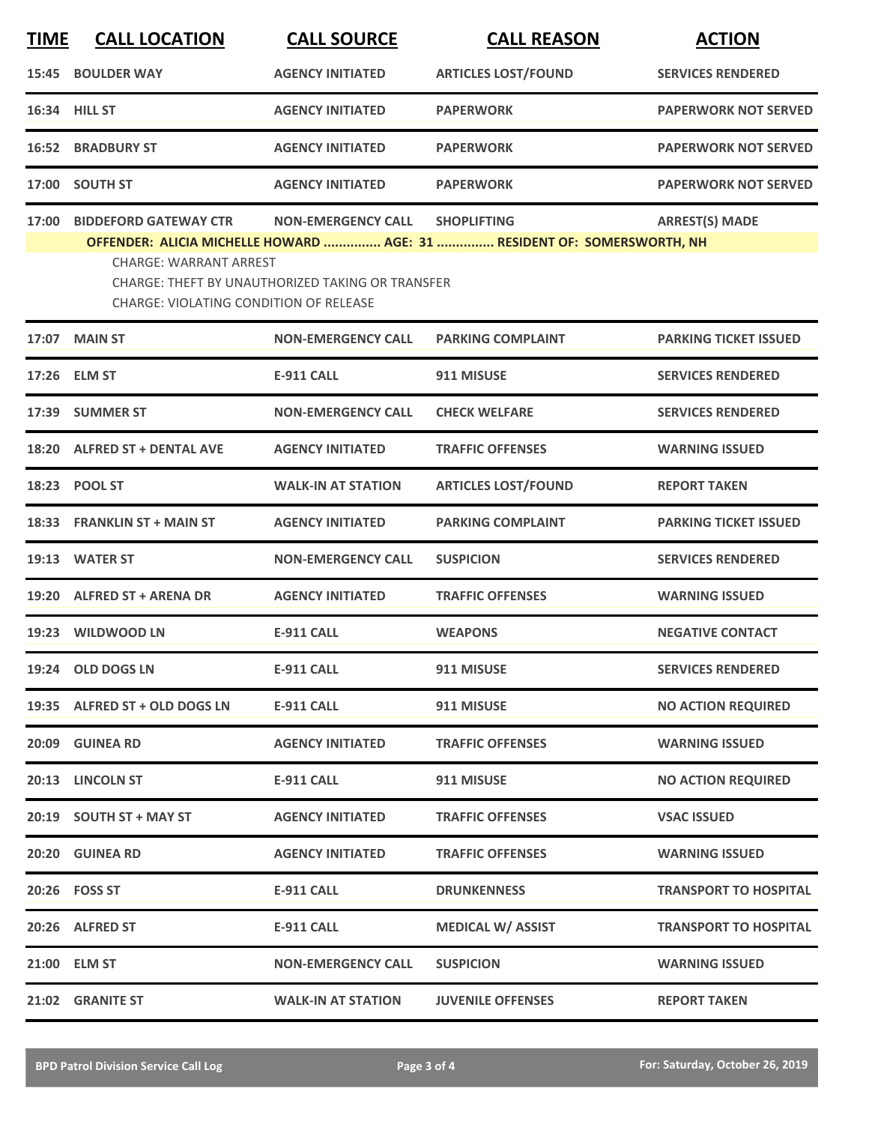| <b>TIME</b> | <b>CALL LOCATION</b>                                                                                                                                                                                                                                                                                                      | <b>CALL SOURCE</b>        | <b>CALL REASON</b>         | <b>ACTION</b>                |  |
|-------------|---------------------------------------------------------------------------------------------------------------------------------------------------------------------------------------------------------------------------------------------------------------------------------------------------------------------------|---------------------------|----------------------------|------------------------------|--|
| 15:45       | <b>BOULDER WAY</b>                                                                                                                                                                                                                                                                                                        | <b>AGENCY INITIATED</b>   | <b>ARTICLES LOST/FOUND</b> | <b>SERVICES RENDERED</b>     |  |
|             | 16:34 HILL ST                                                                                                                                                                                                                                                                                                             | <b>AGENCY INITIATED</b>   | <b>PAPERWORK</b>           | <b>PAPERWORK NOT SERVED</b>  |  |
|             | <b>16:52 BRADBURY ST</b>                                                                                                                                                                                                                                                                                                  | <b>AGENCY INITIATED</b>   | <b>PAPERWORK</b>           | <b>PAPERWORK NOT SERVED</b>  |  |
| 17:00       | <b>SOUTH ST</b>                                                                                                                                                                                                                                                                                                           | <b>AGENCY INITIATED</b>   | <b>PAPERWORK</b>           | <b>PAPERWORK NOT SERVED</b>  |  |
| 17:00       | <b>BIDDEFORD GATEWAY CTR</b><br><b>ARREST(S) MADE</b><br><b>NON-EMERGENCY CALL</b><br><b>SHOPLIFTING</b><br>OFFENDER: ALICIA MICHELLE HOWARD  AGE: 31  RESIDENT OF: SOMERSWORTH, NH<br><b>CHARGE: WARRANT ARREST</b><br>CHARGE: THEFT BY UNAUTHORIZED TAKING OR TRANSFER<br><b>CHARGE: VIOLATING CONDITION OF RELEASE</b> |                           |                            |                              |  |
| 17:07       | <b>MAIN ST</b>                                                                                                                                                                                                                                                                                                            | <b>NON-EMERGENCY CALL</b> | <b>PARKING COMPLAINT</b>   | <b>PARKING TICKET ISSUED</b> |  |
|             | 17:26 ELM ST                                                                                                                                                                                                                                                                                                              | E-911 CALL                | 911 MISUSE                 | <b>SERVICES RENDERED</b>     |  |
|             | 17:39 SUMMER ST                                                                                                                                                                                                                                                                                                           | <b>NON-EMERGENCY CALL</b> | <b>CHECK WELFARE</b>       | <b>SERVICES RENDERED</b>     |  |
| 18:20       | <b>ALFRED ST + DENTAL AVE</b>                                                                                                                                                                                                                                                                                             | <b>AGENCY INITIATED</b>   | <b>TRAFFIC OFFENSES</b>    | <b>WARNING ISSUED</b>        |  |
| 18:23       | <b>POOL ST</b>                                                                                                                                                                                                                                                                                                            | <b>WALK-IN AT STATION</b> | <b>ARTICLES LOST/FOUND</b> | <b>REPORT TAKEN</b>          |  |
| 18:33       | <b>FRANKLIN ST + MAIN ST</b>                                                                                                                                                                                                                                                                                              | <b>AGENCY INITIATED</b>   | <b>PARKING COMPLAINT</b>   | <b>PARKING TICKET ISSUED</b> |  |
| 19:13       | <b>WATER ST</b>                                                                                                                                                                                                                                                                                                           | <b>NON-EMERGENCY CALL</b> | <b>SUSPICION</b>           | <b>SERVICES RENDERED</b>     |  |
| 19:20       | <b>ALFRED ST + ARENA DR</b>                                                                                                                                                                                                                                                                                               | <b>AGENCY INITIATED</b>   | <b>TRAFFIC OFFENSES</b>    | <b>WARNING ISSUED</b>        |  |
|             | 19:23 WILDWOOD LN                                                                                                                                                                                                                                                                                                         | <b>E-911 CALL</b>         | <b>WEAPONS</b>             | <b>NEGATIVE CONTACT</b>      |  |
|             | 19:24 OLD DOGS LN                                                                                                                                                                                                                                                                                                         | <b>E-911 CALL</b>         | 911 MISUSE                 | <b>SERVICES RENDERED</b>     |  |
|             | 19:35 ALFRED ST + OLD DOGS LN                                                                                                                                                                                                                                                                                             | <b>E-911 CALL</b>         | 911 MISUSE                 | <b>NO ACTION REQUIRED</b>    |  |
|             | 20:09 GUINEA RD                                                                                                                                                                                                                                                                                                           | <b>AGENCY INITIATED</b>   | <b>TRAFFIC OFFENSES</b>    | <b>WARNING ISSUED</b>        |  |
|             | 20:13 LINCOLN ST                                                                                                                                                                                                                                                                                                          | E-911 CALL                | 911 MISUSE                 | <b>NO ACTION REQUIRED</b>    |  |
|             | 20:19 SOUTH ST + MAY ST                                                                                                                                                                                                                                                                                                   | <b>AGENCY INITIATED</b>   | <b>TRAFFIC OFFENSES</b>    | <b>VSAC ISSUED</b>           |  |
|             | 20:20 GUINEA RD                                                                                                                                                                                                                                                                                                           | <b>AGENCY INITIATED</b>   | <b>TRAFFIC OFFENSES</b>    | <b>WARNING ISSUED</b>        |  |
|             | 20:26    FOSS ST                                                                                                                                                                                                                                                                                                          | <b>E-911 CALL</b>         | <b>DRUNKENNESS</b>         | <b>TRANSPORT TO HOSPITAL</b> |  |
|             | 20:26 ALFRED ST                                                                                                                                                                                                                                                                                                           | E-911 CALL                | <b>MEDICAL W/ ASSIST</b>   | <b>TRANSPORT TO HOSPITAL</b> |  |
|             | 21:00 ELM ST                                                                                                                                                                                                                                                                                                              | <b>NON-EMERGENCY CALL</b> | <b>SUSPICION</b>           | <b>WARNING ISSUED</b>        |  |
|             | 21:02 GRANITE ST                                                                                                                                                                                                                                                                                                          | <b>WALK-IN AT STATION</b> | <b>JUVENILE OFFENSES</b>   | <b>REPORT TAKEN</b>          |  |